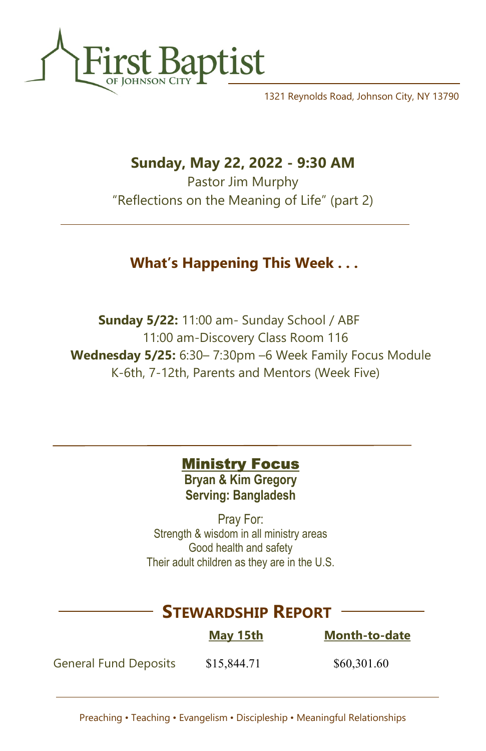

1321 Reynolds Road, Johnson City, NY 13790

## Sunday, May 22, 2022 - 9:30 AM

Pastor Jim Murphy "Reflections on the Meaning of Life" (part 2)

## What's Happening This Week . . .

 Sunday 5/22: 11:00 am- Sunday School / ABF 11:00 am-Discovery Class Room 116 Wednesday 5/25: 6:30– 7:30pm –6 Week Family Focus Module K-6th, 7-12th, Parents and Mentors (Week Five)

### **Ministry Focus**

Bryan & Kim Gregory Serving: Bangladesh

Pray For: Strength & wisdom in all ministry areas Good health and safety Their adult children as they are in the U.S.

# STEWARDSHIP REPORT

|                              | <b>May 15th</b> | <b>Month-to-date</b> |
|------------------------------|-----------------|----------------------|
| <b>General Fund Deposits</b> | \$15,844.71     | \$60,301.60          |